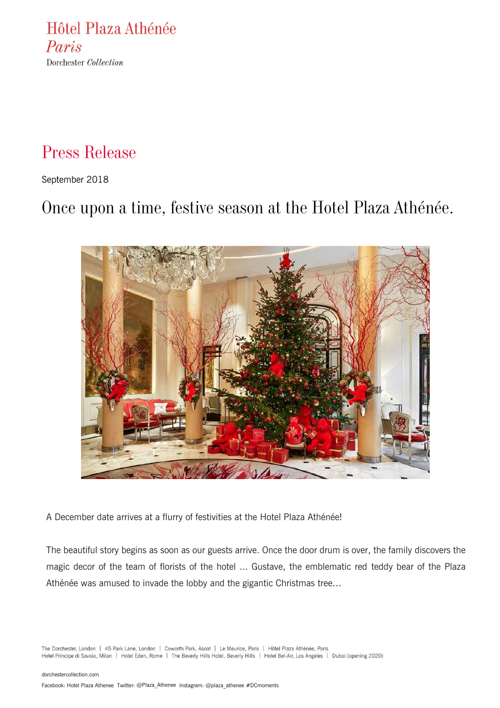Hôtel Plaza Athénée Paris Dorchester Collection

# Press Release

September 2018

# Once upon a time, festive season at the Hotel Plaza Athénée.



A December date arrives at a flurry of festivities at the Hotel Plaza Athénée!

The beautiful story begins as soon as our guests arrive. Once the door drum is over, the family discovers the magic decor of the team of florists of the hotel ... Gustave, the emblematic red teddy bear of the Plaza Athénée was amused to invade the lobby and the gigantic Christmas tree…

The Dorchester, London | 45 Park Lane, London | Coworth Park, Ascot | Le Meurice, Paris | Hôtel Plaza Athénée, Paris Hotel Principe di Savoia, Milan | Hotel Eden, Rome | The Beverly Hills Hotel, Beverly Hills | Hotel Bel-Air, Los Angeles | Dubai (opening 2020)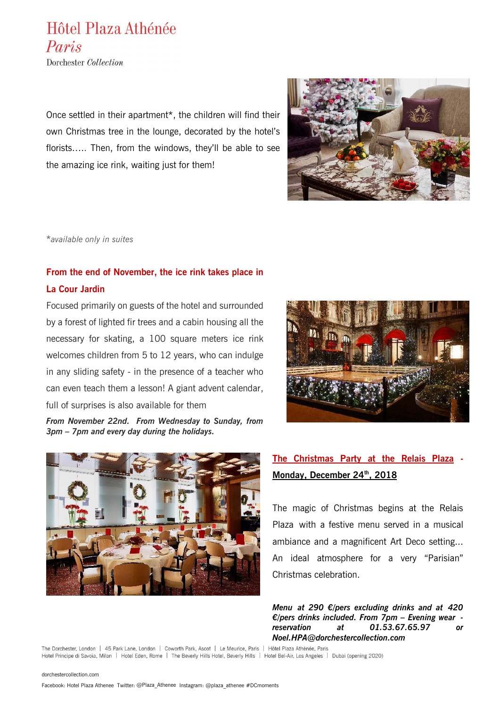## Hôtel Plaza Athénée Paris

Dorchester Collection

Once settled in their apartment\*, the children will find their own Christmas tree in the lounge, decorated by the hotel's florists….. Then, from the windows, they'll be able to see the amazing ice rink, waiting just for them!



\**available only in suites*

## **From the end of November, the ice rink takes place in La Cour Jardin**

Focused primarily on guests of the hotel and surrounded by a forest of lighted fir trees and a cabin housing all the necessary for skating, a 100 square meters ice rink welcomes children from 5 to 12 years, who can indulge in any sliding safety - in the presence of a teacher who can even teach them a lesson! A giant advent calendar, full of surprises is also available for them

*From November 22nd. From Wednesday to Sunday, from 3pm – 7pm and every day during the holidays.*





## **The Christmas Party at the Relais Plaza - Monday, December 24th, 2018**

The magic of Christmas begins at the Relais Plaza with a festive menu served in a musical ambiance and a magnificent Art Deco setting... An ideal atmosphere for a very "Parisian" Christmas celebration.

*Menu at 290 €/pers excluding drinks and at 420 €/pers drinks included. From 7pm – Evening wear reservation at 01.53.67.65.97 or Noel.HPA@dorchestercollection.com*

The Dorchester, London | 45 Park Lane, London | Coworth Park, Ascot | Le Meurice, Paris | Hôtel Plaza Athénée, Paris Hotel Principe di Savoia, Milan | Hotel Eden, Rome | The Beverly Hills Hotel, Beverly Hills | Hotel Bel-Air, Los Angeles | Dubai (opening 2020)

#### [dorchestercollection.com](http://www.dorchestercollection.com/)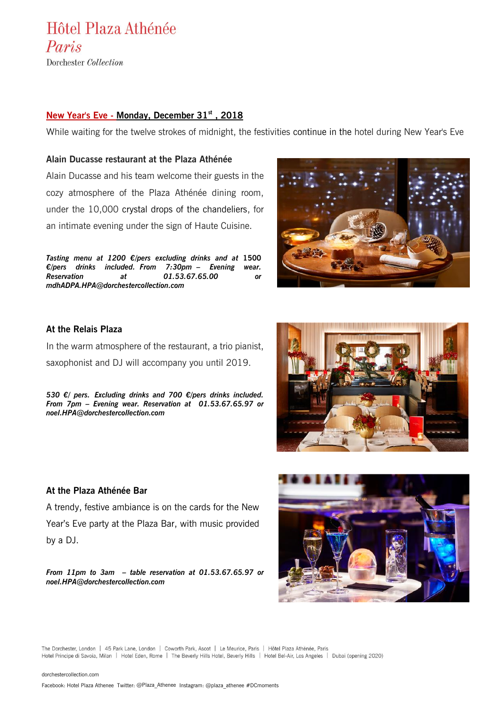Hôtel Plaza Athénée Paris Dorchester Collection

**New Year's Eve - Monday, December 31st , 2018** 

While waiting for the twelve strokes of midnight, the festivities continue in the hotel during New Year's Eve

#### **Alain Ducasse restaurant at the Plaza Athénée**

Alain Ducasse and his team welcome their guests in the cozy atmosphere of the Plaza Athénée dining room, under the 10,000 crystal drops of the chandeliers, for an intimate evening under the sign of Haute Cuisine.

*Tasting menu at 1200 €/pers excluding drinks and at* **1500**  *€/pers drinks included. From 7:30pm – Evening wear. Reservation at 01.53.67.65.00 or mdhADPA.HPA@dorchestercollection.com*



#### **At the Relais Plaza**

In the warm atmosphere of the restaurant, a trio pianist, saxophonist and DJ will accompany you until 2019.

*530 €/ pers. Excluding drinks and 700 €/pers drinks included. From 7pm – Evening wear. Reservation at 01.53.67.65.97 or noel.HPA@dorchestercollection.com*



#### **At the Plaza Athénée Bar**

A trendy, festive ambiance is on the cards for the New Year's Eve party at the Plaza Bar, with music provided by a DJ.

*From 11pm to 3am – table reservation at 01.53.67.65.97 or noel.HPA@dorchestercollection.com*



The Dorchester, London | 45 Park Lane, London | Coworth Park, Ascot | Le Meurice, Paris | Hôtel Plaza Athénée, Paris Hotel Principe di Savoia, Milan | Hotel Eden, Rome | The Beverly Hills Hotel, Beverly Hills | Hotel Bel-Air, Los Angeles | Dubai (opening 2020)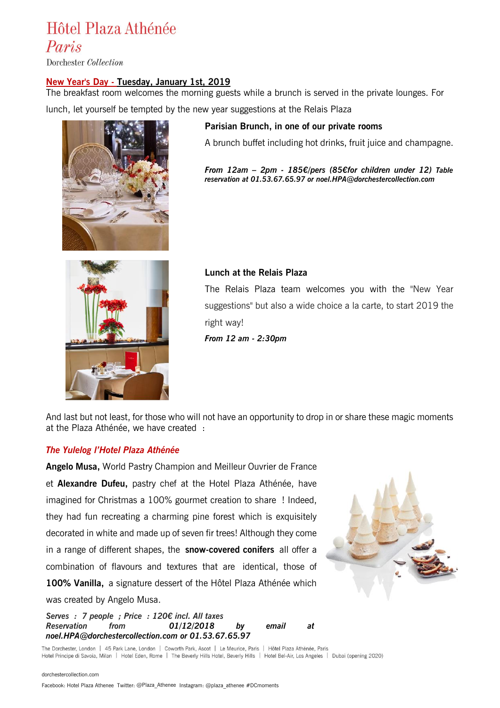# Hôtel Plaza Athénée

Paris

Dorchester Collection

#### **New Year's Day - Tuesday, January 1st, 2019**

The breakfast room welcomes the morning guests while a brunch is served in the private lounges. For

lunch, let yourself be tempted by the new year suggestions at the Relais Plaza



**Parisian Brunch, in one of our private rooms**

A brunch buffet including hot drinks, fruit juice and champagne.

*From 12am – 2pm - 185€/pers (85€for children under 12) Table reservation at 01.53.67.65.97 or noel.HPA@dorchestercollection.com*



#### **Lunch at the Relais Plaza**

The Relais Plaza team welcomes you with the "New Year suggestions" but also a wide choice a la carte, to start 2019 the right way!

*From 12 am - 2:30pm*

And last but not least, for those who will not have an opportunity to drop in or share these magic moments at the Plaza Athénée, we have created :

#### *The Yulelog l'Hotel Plaza Athénée*

**Angelo Musa,** World Pastry Champion and Meilleur Ouvrier de France et **Alexandre Dufeu,** pastry chef at the Hotel Plaza Athénée, have imagined for Christmas a 100% gourmet creation to share ! Indeed, they had fun recreating a charming pine forest which is exquisitely decorated in white and made up of seven fir trees! Although they come in a range of different shapes, the **snow-covered conifers** all offer a combination of flavours and textures that are identical, those of **100% Vanilla,** a signature dessert of the Hôtel Plaza Athénée which was created by Angelo Musa.

*Serves : 7 people ; Price : 120€ incl. All taxes Reservation from 01/12/2018 by email at [noel.HPA@dorchestercollection.com](mailto:noel.HPA@dorchestercollection.com) or 01.53.67.65.97* 



The Dorchester, London | 45 Park Lane, London | Coworth Park, Ascot | Le Meurice, Paris | Hôtel Plaza Athénée, Paris Hotel Principe di Savoia, Milan | Hotel Eden, Rome | The Beverly Hills Hotel, Beverly Hills | Hotel Bel-Air, Los Angeles | Dubai (opening 2020)